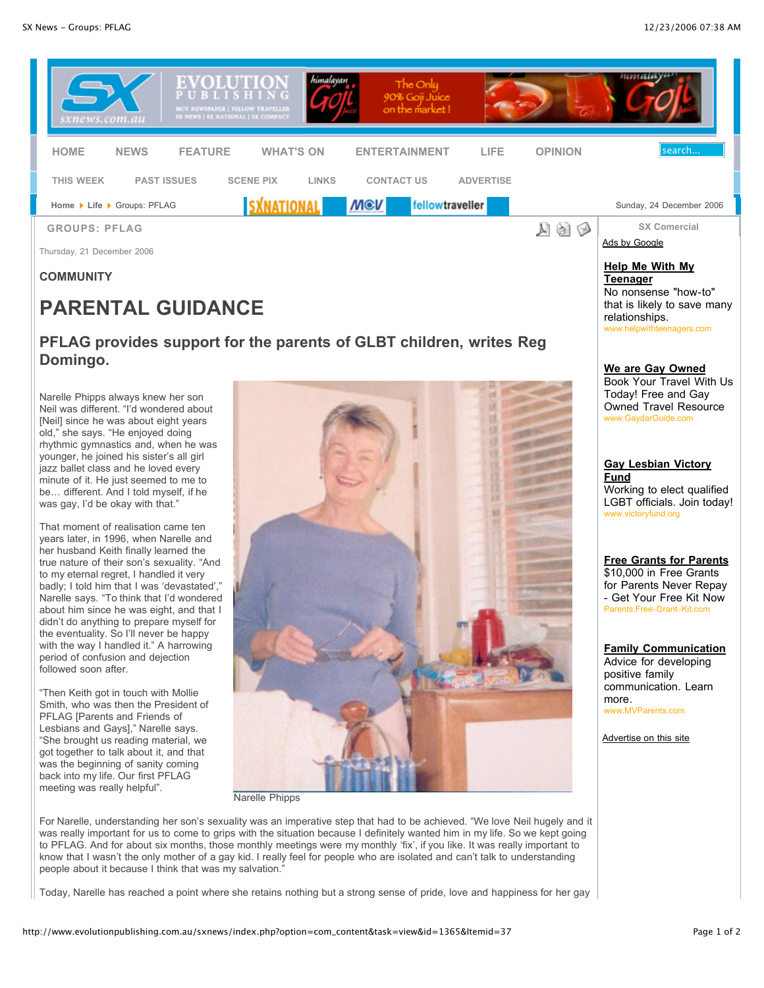

## **COMMUNITY**

# **PARENTAL GUIDANCE**

# **PFLAG provides support for the parents of GLBT children, writes Reg Domingo.**

Narelle Phipps always knew her son Neil was different. "I'd wondered about [Neil] since he was about eight years old," she says. "He enjoyed doing rhythmic gymnastics and, when he was younger, he joined his sister's all girl jazz ballet class and he loved every minute of it. He just seemed to me to be… different. And I told myself, if he was gay, I'd be okay with that."

That moment of realisation came ten years later, in 1996, when Narelle and her husband Keith finally learned the true nature of their son's sexuality. "And to my eternal regret, I handled it very badly; I told him that I was 'devastated'," Narelle says. "To think that I'd wondered about him since he was eight, and that I didn't do anything to prepare myself for the eventuality. So I'll never be happy with the way I handled it." A harrowing period of confusion and dejection followed soon after.

"Then Keith got in touch with Mollie Smith, who was then the President of PFLAG [Parents and Friends of Lesbians and Gays]," Narelle says. "She brought us reading material, we got together to talk about it, and that was the beginning of sanity coming back into my life. Our first PFLAG meeting was really helpful".



Narelle Phipps

For Narelle, understanding her son's sexuality was an imperative step that had to be achieved. "We love Neil hugely and it was really important for us to come to grips with the situation because I definitely wanted him in my life. So we kept going to PFLAG. And for about six months, those monthly meetings were my monthly 'fix', if you like. It was really important to know that I wasn't the only mother of a gay kid. I really feel for people who are isolated and can't talk to understanding people about it because I think that was my salvation."

Today, Narelle has reached a point where she retains nothing but a strong sense of pride, love and happiness for her gay

www.helpwithteenagers.com **We are Gay Owned** Book Your Travel With Us Today! Free and Gay

No nonsense "how-to" that is likely to save many

**Teenager**

relationships.

Owned Travel Resource www.GaydarGuide.com

#### **Gay Lesbian Victory Fund** Working to elect qualified LGBT officials. Join today! www.victoryfund.org

#### **Free Grants for Parents** \$10,000 in Free Grants for Parents Never Repay - Get Your Free Kit Now Parents.Free-Grant-Kit.com

### **Family Communication**

Advice for developing positive family communication. Learn more. w.MVParents.com

Advertise on this site